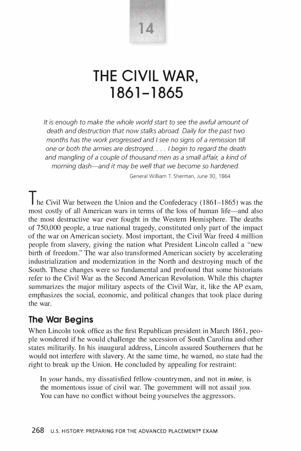

# **THE CIVIL WAR, 1861-1865**

*It is enough to make the whole world start to see the awful amount of death and destruction that now stalks abroad. Daily for the past two months has the work progressed and I see no signs of a remission till one or both the armies are destroyed.* ... *I begin to regard the death and mangling of a couple of thousand men as a small affair, a kind of morning dash-and it may be well that we become so hardened.* 

General William T. Sherman, June 30, 1864

I he Civil War between the Union and the Confederacy (1861-1865) was the most costly of all American wars in terms of the loss of human life-and also the most destructive war ever fought in the Western Hemisphere. The deaths of 750,000 people, a true national tragedy, constituted only part of the impact of the war on American society. Most important, the Civil War freed 4 million people from slavery, giving the nation what President Lincoln called a "new birth of freedom." The war also transformed American society by accelerating industrialization and modernization in the North and destroying much of the South. These changes were so fundamental and profound that some historians refer to the Civil War as the Second American Revolution. While this chapter summarizes the major military aspects of the Civil War, it, like the AP exam, emphasizes the social, economic, and political changes that took place during the war.

## **The War Begins**

When Lincoln took office as the first Republican president in March 1861, people wondered if he would challenge the secession of South Carolina and other states militarily. In his inaugural address, Lincoln assured Southerners that he would not interfere with slavery. At the same time, he warned, no state had the right to break up the Union. He concluded by appealing for restraint:

In *your* hands, my dissatisfied fellow-countrymen, and not in *mine,* is the momentous issue of civil war. The government will not assail *you.* You can have no conflict without being yourselves the aggressors.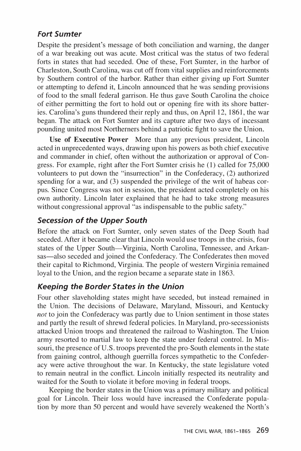#### *Fort Sumter*

Despite the president's message of both conciliation and warning, the danger of a war breaking out was acute. Most critical was the status of two federal forts in states that had seceded. One of these, Fort Sumter, in the harbor of Charleston, South Carolina, was cut off from vital supplies and reinforcements by Southern control of the harbor. Rather than either giving up Fort Sumter or attempting to defend it, Lincoln announced that he was sending provisions of food to the small federal garrison. He thus gave South Carolina the choice of either permitting the fort to hold out or opening fire with its shore batteries. Carolina's guns thundered their reply and thus, on April 12, 1861, the war began. The attack on Fort Sumter and its capture after two days of incessant pounding united most Northerners behind a patriotic fight to save the Union.

**Use of Executive Power** More than any previous president, Lincoln acted in unprecedented ways, drawing upon his powers as both chief executive and commander in chief, often without the authorization or approval of Congress. For example, right after the Fort Sumter crisis he (1) called for 75,000 volunteers to put down the "insurrection" in the Confederacy, (2) authorized spending for a war, and (3) suspended the privilege of the writ of habeas corpus. Since Congress was not in session, the president acted completely on his own authority. Lincoln later explained that he had to take strong measures without congressional approval "as indispensable to the public safety."

#### *Secession of the Upper South*

Before the attack on Fort Sumter, only seven states of the Deep South had seceded. After it became clear that Lincoln would use troops in the crisis, four states of the Upper South-Virginia, North Carolina, Tennessee, and Arkansas—also seceded and joined the Confederacy. The Confederates then moved their capital to Richmond, Virginia. The people of western Virginia remained loyal to the Union, and the region became a separate state in 1863.

#### *Keeping the Border States in the Union*

Four other slaveholding states might have seceded, but instead remained in the Union. The decisions of Delaware, Maryland, Missouri, and Kentucky *not* to join the Confederacy was partly due to Union sentiment in those states and partly the result of shrewd federal policies. In Maryland, pro-secessionists attacked Union troops and threatened the railroad to Washington. The Union army resorted to martial law to keep the state under federal control. In Missouri, the presence of U.S. troops prevented the pro-South elements in the state from gaining control, although guerrilla forces sympathetic to the Confederacy were active throughout the war. In Kentucky, the state legislature voted to remain neutral in the conflict. Lincoln initially respected its neutrality and waited for the South to violate it before moving in federal troops.

Keeping the border states in the Union was a primary military and political goal for Lincoln. Their loss would have increased the Confederate population by more than 50 percent and would have severely weakened the North's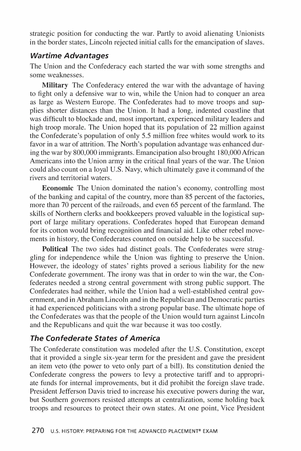strategic position for conducting the war. Partly to avoid alienating Unionists in the border states, Lincoln rejected initial calls for the emancipation of slaves.

#### *Wartime Advantages*

The Union and the Confederacy each started the war with some strengths and some weaknesses.

**Military** The Confederacy entered the war with the advantage of having to fight only a defensive war to win, while the Union had to conquer an area as large as Western Europe. The Confederates had to move troops and supplies shorter distances than the Union. It had a long, indented coastline that was difficult to blockade and, most important, experienced military leaders and high troop morale. The Union hoped that its population of 22 million against the Confederate's population of only 5.5 million free whites would work to its favor in a war of attrition. The North's population advantage was enhanced during the war by 800,000 immigrants. Emancipation also brought 180,000 African Americans into the Union army in the critical final years of the war. The Union could also count on a loyal U.S. Navy, which ultimately gave it command of the rivers and territorial waters.

**Economic** The Union dominated the nation's economy, controlling most of the banking and capital of the country, more than 85 percent of the factories, more than 70 percent of the railroads, and even 65 percent of the farmland. The skills of Northern clerks and bookkeepers proved valuable in the logistical support of large military operations. Confederates hoped that European demand for its cotton would bring recognition and financial aid. Like other rebel movements in history, the Confederates counted on outside help to be successful.

**Political** The two sides had distinct goals. The Confederates were struggling for independence while the Union was fighting to preserve the Union. However, the ideology of states' rights proved a serious liability for the new Confederate government. The irony was that in order to win the war, the Confederates needed a strong central government with strong public support. The Confederates had neither, while the Union had a well-established central government, and in Abraham Lincoln and in the Republican and Democratic parties it had experienced politicians with a strong popular base. The ultimate hope of the Confederates was that the people of the Union would tum against Lincoln and the Republicans and quit the war because it was too costly.

#### *The Confederate States of America*

The Confederate constitution was modeled after the U.S. Constitution, except that it provided a single six-year term for the president and gave the president an item veto (the power to veto only part of a bill). Its constitution denied the Confederate congress the powers to levy a protective tariff and to appropriate funds for internal improvements, but it did prohibit the foreign slave trade. President Jefferson Davis tried to increase his executive powers during the war, but Southern governors resisted attempts at centralization, some holding back troops and resources to protect their own states. At one point, Vice President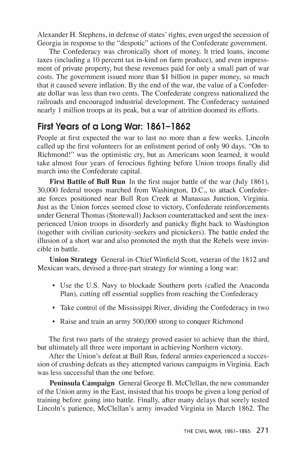Alexander H. Stephens, in defense of states' rights, even urged the secession of Georgia in response to the "despotic" actions of the Confederate government.

The Confederacy was chronically short of money. It tried loans, income taxes (including a 10 percent tax in-kind on farm produce), and even impressment of private property, but these revenues paid for only a small part of war costs. The government issued more than \$1 billion in paper money, so much that it caused severe inflation. By the end of the war, the value of a Confederate dollar was less than two cents. The Confederate congress nationalized the railroads and encouraged industrial development. The Confederacy sustained nearly 1 million troops at its peak, but a war of attrition doomed its efforts.

# **First Years of a Long War: 1861-1862**

People at first expected the war to last no more than a few weeks. Lincoln called up the first volunteers for an enlistment period of only 90 days. "On to Richmond!" was the optimistic cry, but as Americans soon learned, it would take almost four years of ferocious fighting before Union troops finally did march into the Confederate capital.

**First Battle of Bull Run** In the first major battle of the war (July 1861), 30,000 federal troops marched from Washington, D.C., to attack Confederate forces positioned near Bull Run Creek at Manassas Junction, Virginia. Just as the Union forces seemed close to victory, Confederate reinforcements under General Thomas (Stonewall) Jackson counterattacked and sent the inexperienced Union troops in disorderly and panicky flight back to Washington (together with civilian curiosity-seekers and picnickers). The battle ended the illusion of a short war and also promoted the myth that the Rebels were invincible in battle.

**Union Strategy** General-in-Chief Winfield Scott, veteran of the 1812 and Mexican wars, devised a three-part strategy for winning a long war:

- Use the U.S. Navy to blockade Southern ports (called the Anaconda Plan), cutting off essential supplies from reaching the Confederacy
- Take control of the Mississippi River, dividing the Confederacy in two
- Raise and train an army 500,000 strong to conquer Richmond

The first two parts of the strategy proved easier to achieve than the third, but ultimately all three were important in achieving Northern victory.

After the Union's defeat at Bull Run, federal armies experienced a succession of crushing defeats as they attempted various campaigns in Virginia. Each was less successful than the one before.

**Peninsula Campaign** General George B. McClellan, the new commander of the Union army in the East, insisted that his troops be given a long period of training before going into battle. Finally, after many delays that sorely tested Lincoln's patience, McClellan's army invaded Virginia in March 1862. The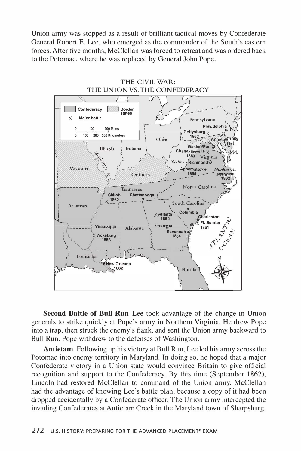Union army was stopped as a result of brilliant tactical moves by Confederate General Robert E. Lee, who emerged as the commander of the South's eastern forces. After five months, McClellan was forced to retreat and was ordered back to the Potomac, where he was replaced by General John Pope.



**Second Battle of Bull Run** Lee took advantage of the change in Union generals to strike quickly at Pope's army in Northern Virginia. He drew Pope into a trap, then struck the enemy's flank, and sent the Union army backward to Bull Run. Pope withdrew to the defenses of Washington.

**Antietam** Following up his victory at Bull Run, Lee led his army across the Potomac into enemy territory in Maryland. In doing so, he hoped that a major Confederate victory in a Union state would convince Britain to give official recognition and support to the Confederacy. By this time (September 1862), Lincoln had restored McClellan to command of the Union army. McClellan had the advantage of knowing Lee's battle plan, because a copy of it had been dropped accidentally by a Confederate officer. The Union army intercepted the invading Confederates at Antietam Creek in the Maryland town of Sharpsburg.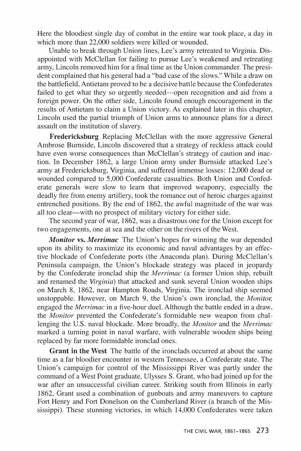Here the bloodiest single day of combat in the entire war took place, a day in which more than 22,000 soldiers were killed or wounded.

Unable to break through Union lines, Lee's army retreated to Virginia. Disappointed with McClellan for failing to pursue Lee's weakened and retreating army, Lincoln removed him for a final time as the Union commander. The president complained that his general had a "bad case of the slows." While a draw on the battlefield, Antietam proved to be a decisive battle because the Confederates failed to get what they so urgently needed—open recognition and aid from a foreign power. On the other side, Lincoln found enough encouragement in the results of Antietam to claim a Union victory. As explained later in this chapter, Lincoln used the partial triumph of Union arms to announce plans for a direct assault on the institution of slavery.

**Fredericksburg** Replacing McClellan with the more aggressive General Ambrose Burnside, Lincoln discovered that a strategy of reckless attack could have even worse consequences than McClellan's strategy of caution and inaction. In December 1862, a large Union army under Burnside attacked Lee's army at Fredericksburg, Virginia, and suffered immense losses: 12,000 dead or wounded compared to 5,000 Confederate casualties. Both Union and Confederate generals were slow to learn that improved weaponry, especially the deadly fire from enemy artillery, took the romance out of heroic charges against entrenched positions. By the end of 1862, the awful magnitude of the war was all too clear—with no prospect of military victory for either side.

The second year of war, 1862, was a disastrous one for the Union except for two engagements, one at sea and the other on the rivers of the West.

*Monitor* **vs.** *Merrimac* The Union's hopes for winning the war depended upon its ability to maximize its economic and naval advantages by an effective blockade of Confederate ports (the Anaconda plan). During McClellan's Peninsula campaign, the Union's blockade strategy was placed in jeopardy by the Confederate ironclad ship the *Merrimac* (a former Union ship, rebuilt and renamed the *Virginia)* that attacked and sunk several Union wooden ships on March 8, 1862, near Hampton Roads, Virginia. The ironclad ship seemed unstoppable. However, on March 9, the Union's own ironclad, the *Monitor,*  engaged the *Merrimac* in a five-hour duel. Although the battle ended in a draw, the *Monitor* prevented the Confederate's formidable new weapon from challenging the U.S. naval blockade. More broadly, the *Monitor* and the *Merrimac*  marked a turning point in naval warfare, with vulnerable wooden ships being replaced by far more formidable ironclad ones.

**Grant in the West** The battle of the ironclads occurred at about the same time as a far bloodier encounter in western Tennessee, a Confederate state. The Union's campaign for control of the Mississippi River was partly under the command of a West Point graduate, Ulysses S. Grant, who had joined up for the war after an unsuccessful civilian career. Striking south from Illinois in early 1862, Grant used a combination of gunboats and army maneuvers to capture Fort Henry and Fort Donelson on the Cumberland River (a branch of the Mississippi). These stunning victories, in which 14,000 Confederates were taken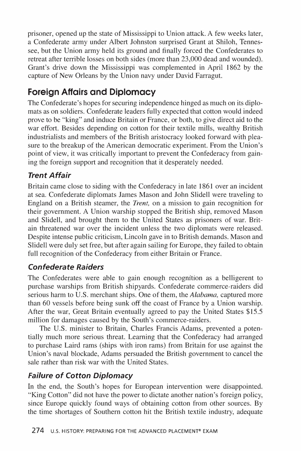prisoner, opened up the state of Mississippi to Union attack. A few weeks later, a Confederate army under Albert Johnston surprised Grant at Shiloh, Tennessee, but the Union army held its ground and finally forced the Confederates to retreat after terrible losses on both sides (more than 23,000 dead and wounded). Grant's drive down the Mississippi was complemented in April 1862 by the capture of New Orleans by the Union navy under David Farragut.

# **Foreign Affairs and Diplomacy**

The Confederate's hopes for securing independence hinged as much on its diplomats as on soldiers. Confederate leaders fully expected that cotton would indeed prove to be "king" and induce Britain or France, or both, to give direct aid to the war effort. Besides depending on cotton for their textile mills, wealthy British industrialists and members of the British aristocracy looked forward with pleasure to the breakup of the American democratic experiment. From the Union's point of view, it was critically important to prevent the Confederacy from gaining the foreign support and recognition that it desperately needed.

# *Trent Affair*

Britain came close to siding with the Confederacy in late 1861 over an incident at sea. Confederate diplomats James Mason and John Slidell were traveling to England on a British steamer, the *Trent,* on a mission to gain recognition for their government. A Union warship stopped the British ship, removed Mason and Slidell, and brought them to the United States as prisoners of war. Britain threatened war over the incident unless the two diplomats were released. Despite intense public criticism, Lincoln gave in to British demands. Mason and Slidell were duly set free, but after again sailing for Europe, they failed to obtain full recognition of the Confederacy from either Britain or France.

## *Confederate Raiders*

The Confederates were able to gain enough recognition as a belligerent to purchase warships from British shipyards. Confederate commerce-raiders did serious harm to U.S. merchant ships. One of them, the *Alabama,* captured more than 60 vessels before being sunk off the coast of France by a Union warship. After the war, Great Britain eventually agreed to pay the United States \$15.5 million for damages caused by the South's commerce-raiders.

The U.S. minister to Britain, Charles Francis Adams, prevented a potentially much more serious threat. Learning that the Confederacy had arranged to purchase Laird rams (ships with iron rams) from Britain for use against the Union's naval blockade, Adams persuaded the British government to cancel the sale rather than risk war with the United States.

## *Failure of Cotton Diplomacy*

In the end, the South's hopes for European intervention were disappointed. "King Cotton" did not have the power to dictate another nation's foreign policy, since Europe quickly found ways of obtaining cotton from other sources. By the time shortages of Southern cotton hit the British textile industry, adequate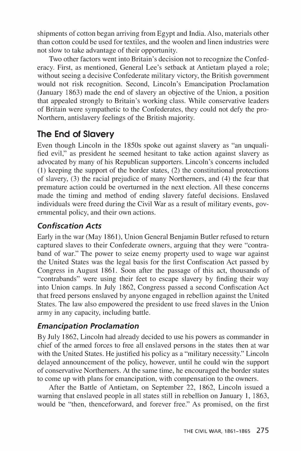shipments of cotton began arriving from Egypt and India. Also, materials other than cotton could be used for textiles, and the woolen and linen industries were not slow to take advantage of their opportunity.

Two other factors went into Britain's decision not to recognize the Confederacy. First, as mentioned, General Lee's setback at Antietam played a role; without seeing a decisive Confederate military victory, the British government would not risk recognition. Second, Lincoln's Emancipation Proclamation (January 1863) made the end of slavery an objective of the Union, a position that appealed strongly to Britain's working class. While conservative leaders of Britain were sympathetic to the Confederates, they could not defy the pro-Northern, antislavery feelings of the British majority.

# **The End of Slavery**

Even though Lincoln in the 1850s spoke out against slavery as "an unqualified evil," as president he seemed hesitant to take action against slavery as advocated by many of his Republican supporters. Lincoln's concerns included (1) keeping the support of the border states, (2) the constitutional protections of slavery, (3) the racial prejudice of many Northerners, and (4) the fear that premature action could be overturned in the next election. All these concerns made the timing and method of ending slavery fateful decisions. Enslaved individuals were freed during the Civil War as a result of military events, governmental policy, and their own actions.

## *Confiscation Acts*

Early in the war (May 1861), Union General Benjamin Butler refused to return captured slaves to their Confederate owners, arguing that they were "contraband of war." The power to seize enemy property used to wage war against the United States was the legal basis for the first Confiscation Act passed by Congress in August 1861. Soon after the passage of this act, thousands of "contrabands" were using their feet to escape slavery by finding their way into Union camps. In July 1862, Congress passed a second Confiscation Act that freed persons enslaved by anyone engaged in rebellion against the United States. The law also empowered the president to use freed slaves in the Union army in any capacity, including battle.

## *Emancipation Proclamation*

By July 1862, Lincoln had already decided to use his powers as commander in chief of the armed forces to free all enslaved persons in the states then at war with the United States. He justified his policy as a "military necessity." Lincoln delayed announcement of the policy, however, until he could win the support of conservative Northerners. At the same time, he encouraged the border states to come up with plans for emancipation, with compensation to the owners.

After the Battle of Antietam, on September 22, 1862, Lincoln issued a warning that enslaved people in all states still in rebellion on January 1, 1863, would be "then, thenceforward, and forever free." As promised, on the first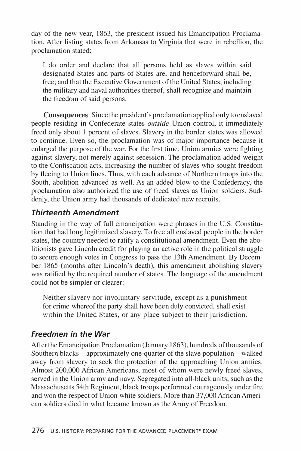day of the new year, 1863, the president issued his Emancipation Proclamation. After listing states from Arkansas to Virginia that were in rebellion, the proclamation stated:

I do order and declare that all persons held as slaves within said designated States and parts of States are, and henceforward shall be, free; and that the Executive Government of the United States, including the military and naval authorities thereof, shall recognize and maintain the freedom of said persons.

**Consequences** Since the president's proclamation applied only to enslaved people residing in Confederate states *outside* Union control, it immediately freed only about 1 percent of slaves. Slavery in the border states was allowed to continue. Even so, the proclamation was of major importance because it enlarged the purpose of the war. For the first time, Union armies were fighting against slavery, not merely against secession. The proclamation added weight to the Confiscation acts, increasing the number of slaves who sought freedom by fleeing to Union lines. Thus, with each advance of Northern troops into the South, abolition advanced as well. As an added blow to the Confederacy, the proclamation also authorized the use of freed slaves as Union soldiers. Suddenly, the Union army had thousands of dedicated new recruits.

#### *Thirteenth Amendment*

Standing in the way of full emancipation were phrases in the U.S. Constitution that had long legitimized slavery. To free all enslaved people in the border states, the country needed to ratify a constitutional amendment. Even the abolitionists gave Lincoln credit for playing an active role in the political struggle to secure enough votes in Congress to pass the 13th Amendment. By December 1865 (months after Lincoln's death), this amendment abolishing slavery was ratified by the required number of states. The language of the amendment could not be simpler or clearer:

Neither slavery nor involuntary servitude, except as a punishment for crime whereof the party shall have been duly convicted, shall exist within the United States, or any place subject to their jurisdiction.

#### *Freedmen in the War*

After the Emancipation Proclamation (January 1863), hundreds of thousands of Southern blacks—approximately one-quarter of the slave population—walked away from slavery to seek the protection of the approaching Union armies. Almost 200,000 African Americans, most of whom were newly freed slaves, served in the Union army and navy. Segregated into all-black units, such as the Massachusetts 54th Regiment, black troops performed courageously under fire and won the respect of Union white soldiers. More than 37,000 African American soldiers died in what became known as the Army of Freedom.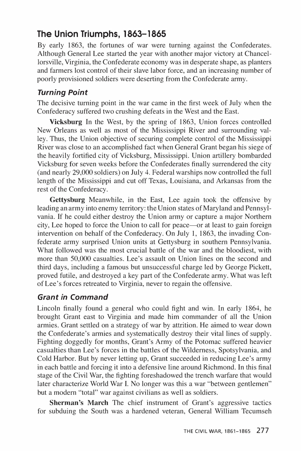# **The Union Triumphs, 1863-1865**

By early 1863, the fortunes of war were turning against the Confederates. Although General Lee started the year with another major victory at Chancellorsville, Virginia, the Confederate economy was in desperate shape, as planters and farmers lost control of their slave labor force, and an increasing number of poorly provisioned soldiers were deserting from the Confederate army.

#### *Turning Point*

The decisive turning point in the war came in the first week of July when the Confederacy suffered two crushing defeats in the West and the East.

**Vicksburg** In the West, by the spring of 1863, Union forces controlled New Orleans as well as most of the Mississippi River and surrounding valley. Thus, the Union objective of securing complete control of the Mississippi River was close to an accomplished fact when General Grant began his siege of the heavily fortified city of Vicksburg, Mississippi. Union artillery bombarded Vicksburg for seven weeks before the Confederates finally surrendered the city (and nearly 29,000 soldiers) on July 4. Federal warships now controlled the full length of the Mississippi and cut off Texas, Louisiana, and Arkansas from the rest of the Confederacy.

**Gettysburg** Meanwhile, in the East, Lee again took the offensive by leading an army into enemy territory: the Union states of Maryland and Pennsylvania. If he could either destroy the Union army or capture a major Northern city, Lee hoped to force the Union to call for peace-or at least to gain foreign intervention on behalf of the Confederacy. On July 1, 1863, the invading Confederate army surprised Union units at Gettysburg in southern Pennsylvania. What followed was the most crucial battle of the war and the bloodiest, with more than 50,000 casualties. Lee's assault on Union lines on the second and third days, including a famous but unsuccessful charge led by George Pickett, proved futile, and destroyed a key part of the Confederate army. What was left of Lee's forces retreated to Virginia, never to regain the offensive.

## *Grant in Command*

Lincoln finally found a general who could fight and win. In early 1864, he brought Grant east to Virginia and made him commander of all the Union armies. Grant settled on a strategy of war by attrition. He aimed to wear down the Confederate's armies and systematically destroy their vital lines of supply. Fighting doggedly for months, Grant's Army of the Potomac suffered heavier casualties than Lee's forces in the battles of the Wilderness, Spotsylvania, and Cold Harbor. But by never letting up, Grant succeeded in reducing Lee's army in each battle and forcing it into a defensive line around Richmond. In this final stage of the Civil War, the fighting foreshadowed the trench warfare that would later characterize World War I. No longer was this a war "between gentlemen" but a modern "total" war against civilians as well as soldiers.

**Sherman's March** The chief instrument of Grant's aggressive tactics for subduing the South was a hardened veteran, General William Tecumseh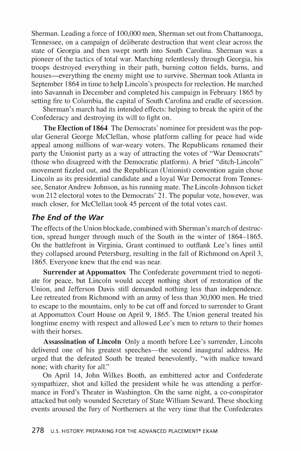Sherman. Leading a force of 100,000 men, Sherman set out from Chattanooga, Tennessee, on a campaign of deliberate destruction that went clear across the state of Georgia and then swept north into South Carolina. Sherman was a pioneer of the tactics of total war. Marching relentlessly through Georgia, his troops destroyed everything in their path, burning cotton fields, barns, and houses—everything the enemy might use to survive. Sherman took Atlanta in September 1864 in time to help Lincoln's prospects for reelection. He marched into Savannah in December and completed his campaign in February 1865 by setting fire to Columbia, the capital of South Carolina and cradle of secession.

Sherman's march had its intended effects: helping to break the spirit of the Confederacy and destroying its will to fight on.

**The Election of 1864** The Democrats' nominee for president was the popular General George McClellan, whose platform calling for peace had wide appeal among millions of war-weary voters. The Republicans renamed their party the Unionist party as a way of attracting the votes of "War Democrats" (those who disagreed with the Democratic platform). A brief "ditch-Lincoln" movement fizzled out, and the Republican (Unionist) convention again chose Lincoln as its presidential candidate and a loyal War Democrat from Tennessee, Senator Andrew Johnson, as his running mate. The Lincoln-Johnson ticket won 212 electoral votes to the Democrats' 21. The popular vote, however, was much closer, for McClellan took 45 percent of the total votes cast.

#### *The End of the War*

The effects of the Union blockade, combined with Sherman's march of destruction, spread hunger through much of the South in the winter of 1864-1865. On the battlefront in Virginia, Grant continued to outflank Lee's lines until they collapsed around Petersburg, resulting in the fall of Richmond on April 3, 1865. Everyone knew that the end was near.

**Surrender at Appomattox** The Confederate government tried to negotiate for peace, but Lincoln would accept nothing short of restoration of the Union, and Jefferson Davis still demanded nothing less than independence. Lee retreated from Richmond with an army of less than 30,000 men. He tried to escape to the mountains, only to be cut off and forced to surrender to Grant at Appomattox Court House on April 9, 1865. The Union general treated his longtime enemy with respect and allowed Lee's men to return to their homes with their horses.

**Assassination of Lincoln** Only a month before Lee's surrender, Lincoln delivered one of his greatest speeches—the second inaugural address. He urged that the defeated South be treated benevolently, "with malice toward none; with charity for all."

On April 14, John Wilkes Booth, an embittered actor and Confederate sympathizer, shot and killed the president while he was attending a performance in Ford's Theater in Washington. On the same night, a co-conspirator attacked but only wounded Secretary of State William Seward. These shocking events aroused the fury of Northerners at the very time that the Confederates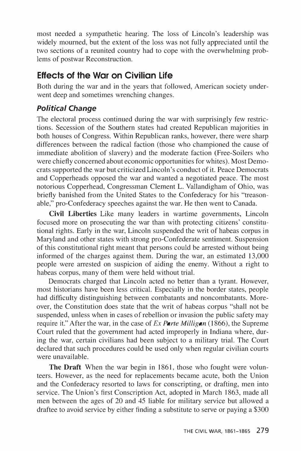most needed a sympathetic hearing. The loss of Lincoln's leadership was widely mourned, but the extent of the loss was not fully appreciated until the two sections of a reunited country had to cope with the overwhelming problems of postwar Reconstruction.

# **Effects of the War on Civilian Life**

Both during the war and in the years that followed, American society underwent deep and sometimes wrenching changes.

## *Political Change*

The electoral process continued during the war with surprisingly few restrictions. Secession of the Southern states had created Republican majorities in both houses of Congress. Within Republican ranks, however, there were sharp differences between the radical faction (those who championed the cause of immediate abolition of slavery) and the moderate faction (Free-Soilers who were chiefly concerned about economic opportunities for whites). Most Democrats supported the war but criticized Lincoln's conduct of it. Peace Democrats and Copperheads opposed the war and wanted a negotiated peace. The most notorious Copperhead, Congressman Clement L. Vallandigham of Ohio, was briefly banished from the United States to the Confederacy for his "treasonable," pro-Confederacy speeches against the war. He then went to Canada.

**Civil Liberties** Like many leaders in wartime governments, Lincoln focused more on prosecuting the war than with protecting citizens' constitutional rights. Early in the war, Lincoln suspended the writ of habeas corpus in Maryland and other states with strong pro-Confederate sentiment. Suspension of this constitutional right meant that persons could be arrested without being informed of the charges against them. During the war, an estimated 13,000 people were arrested on suspicion of aiding the enemy. Without a right to habeas corpus, many of them were held without trial.

Democrats charged that Lincoln acted no better than a tyrant. However, most historians have been less critical. Especially in the border states, people had difficulty distinguishing between combatants and noncombatants. Moreover, the Constitution does state that the writ of habeas corpus "shall not be suspended, unless when in cases of rebellion or invasion the public safety may require it." After the war, in the case of *Ex Parte Milligan* (1866), the Supreme Court ruled that the government had acted improperly in Indiana where, during the war, certain civilians had been subject to a military trial. The Court declared that such procedures could be used only when regular civilian courts were unavailable.

**The Draft** When the war begin in 1861, those who fought were volunteers. However, as the need for replacements became acute, both the Union and the Confederacy resorted to laws for conscripting, or drafting, men into service. The Union's first Conscription Act, adopted in March 1863, made all men between the ages of 20 and 45 liable for military service but allowed a draftee to avoid service by either finding a substitute to serve or paying a \$300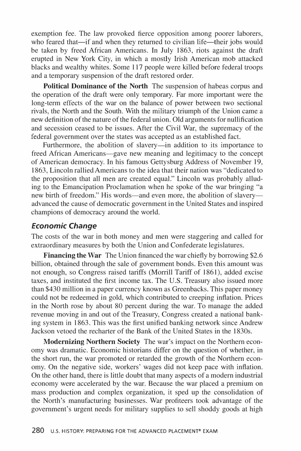exemption fee. The law provoked fierce opposition among poorer laborers, who feared that—if and when they returned to civilian life—their jobs would be taken by freed African Americans. In July 1863, riots against the draft erupted in New York City, in which a mostly Irish American mob attacked blacks and wealthy whites. Some 117 people were killed before federal troops and a temporary suspension of the draft restored order.

**Political Dominance of the North** The suspension of habeas corpus and the operation of the draft were only temporary. Far more important were the long-term effects of the war on the balance of power between two sectional rivals, the North and the South. With the military triumph of the Union came a new definition of the nature of the federal union. Old arguments for nullification and secession ceased to be issues. After the Civil War, the supremacy of the federal government over the states was accepted as an established fact.

Furthermore, the abolition of slavery—in addition to its importance to freed African Americans-gave new meaning and legitimacy to the concept of American democracy. In his famous Gettysburg Address of November 19, 1863, Lincoln rallied Americans to the idea that their nation was "dedicated to the proposition that all men are created equal." Lincoln was probably alluding to the Emancipation Proclamation when he spoke of the war bringing "a new birth of freedom." His words—and even more, the abolition of slavery advanced the cause of democratic government in the United States and inspired champions of democracy around the world.

#### *Economic Change*

The costs of the war in both money and men were staggering and called for extraordinary measures by both the Union and Confederate legislatures.

**Financing the War** The Union financed the war chiefly by borrowing \$2.6 billion, obtained through the sale of government bonds. Even this amount was not enough, so Congress raised tariffs (Morrill Tariff of 1861), added excise taxes, and instituted the first income tax. The U.S. Treasury also issued more than \$430 million in a paper currency known as Greenbacks. This paper money could not be redeemed in gold, which contributed to creeping inflation. Prices in the North rose by about 80 percent during the war. To manage the added revenue moving in and out of the Treasury, Congress created a national banking system in 1863. This was the first unified banking network since Andrew Jackson vetoed the recharter of the Bank of the United States in the 1830s.

**Modernizing Northern Society** The war's impact on the Northern economy was dramatic. Economic historians differ on the question of whether, in the short run, the war promoted or retarded the growth of the Northern economy. On the negative side, workers' wages did not keep pace with inflation. On the other hand, there is little doubt that many aspects of a modern industrial economy were accelerated by the war. Because the war placed a premium on mass production and complex organization, it sped up the consolidation of the North's manufacturing businesses. War profiteers took advantage of the government's urgent needs for military supplies to sell shoddy goods at high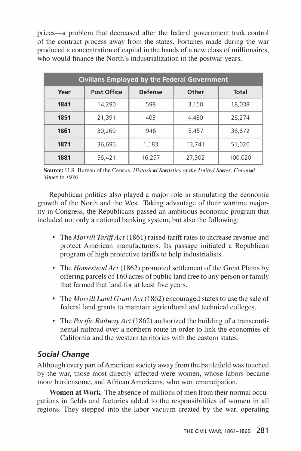prices-a problem that decreased after the federal government took control of the contract process away from the states. Fortunes made during the war produced a concentration of capital in the hands of a new class of millionaires, who would finance the North's industrialization in the postwar years.

| <b>Civilians Employed by the Federal Government</b> |                    |                |              |              |
|-----------------------------------------------------|--------------------|----------------|--------------|--------------|
| Year                                                | <b>Post Office</b> | <b>Defense</b> | <b>Other</b> | <b>Total</b> |
| 1841                                                | 14,290             | 598            | 3,150        | 18,038       |
| 1851                                                | 21,391             | 403            | 4,480        | 26,274       |
| 1861                                                | 30,269             | 946            | 5,457        | 36,672       |
| 1871                                                | 36,696             | 1,183          | 13,741       | 51,020       |
| 1881                                                | 56,421             | 16,297         | 27,302       | 100,020      |

**Source:** U.S. Bureau of the Census. *Historical Statistics of the United States, Colonial Times to 1970* 

Republican politics also played a major role in stimulating the economic growth of the North and the West. Taking advantage of their wartime majority in Congress, the Republicans passed an ambitious economic program that included not only a national banking system, but also the following:

- The *Morrill Tariff Act* (1861) raised tariff rates to increase revenue and protect American manufacturers. Its passage initiated a Republican program of high protective tariffs to help industrialists.
- The *Homestead Act* (1862) promoted settlement of the Great Plains by offering parcels of 160 acres of public land free to any person or family that farmed that land for at least five years.
- The *Morrill Land Grant Act* (1862) encouraged states to use the sale of federal land grants to maintain agricultural and technical colleges.
- The *Pacific Railway Act* (1862) authorized the building of a transcontinental railroad over a northern route in order to link the economies of California and the western territories with the eastern states.

## *Social Change*

Although every part of American society away from the battlefield was touched by the war, those most directly affected were women, whose labors became more burdensome, and African Americans, who won emancipation.

**Women at Work** The absence of millions of men from their normal occupations in fields and factories added to the responsibilities of women in all regions. They stepped into the labor vacuum created by the war, operating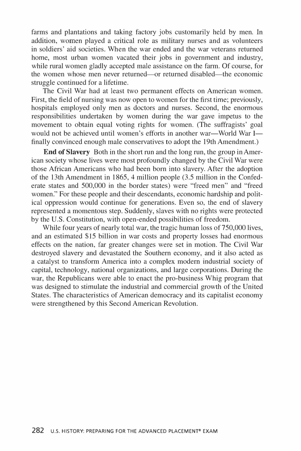farms and plantations and taking factory jobs customarily held by men. In addition, women played a critical role as military nurses and as volunteers in soldiers' aid societies. When the war ended and the war veterans returned home, most urban women vacated their jobs in government and industry, while rural women gladly accepted male assistance on the farm. Of course, for the women whose men never returned—or returned disabled—the economic struggle continued for a lifetime.

The Civil War had at least two permanent effects on American women. First, the field of nursing was now open to women for the first time; previously, hospitals employed only men as doctors and nurses. Second, the enormous responsibilities undertaken by women during the war gave impetus to the movement to obtain equal voting rights for women. (The suffragists' goal would not be achieved until women's efforts in another war—World War I finally convinced enough male conservatives to adopt the 19th Amendment.)

**End of Slavery** Both in the short run and the long run, the group in American society whose lives were most profoundly changed by the Civil War were those African Americans who had been born into slavery. After the adoption of the 13th Amendment in 1865, 4 million people (3.5 million in the Confederate states and 500,000 in the border states) were "freed men" and "freed women." For these people and their descendants, economic hardship and political oppression would continue for generations. Even so, the end of slavery represented a momentous step. Suddenly, slaves with no rights were protected by the U.S. Constitution, with open-ended possibilities of freedom.

While four years of nearly total war, the tragic human loss of 750,000 lives, and an estimated \$15 billion in war costs and property losses had enormous effects on the nation, far greater changes were set in motion. The Civil War destroyed slavery and devastated the Southern economy, and it also acted as a catalyst to transform America into a complex modern industrial society of capital, technology, national organizations, and large corporations. During the war, the Republicans were able to enact the pro-business Whig program that was designed to stimulate the industrial and commercial growth of the United States. The characteristics of American democracy and its capitalist economy were strengthened by this Second American Revolution.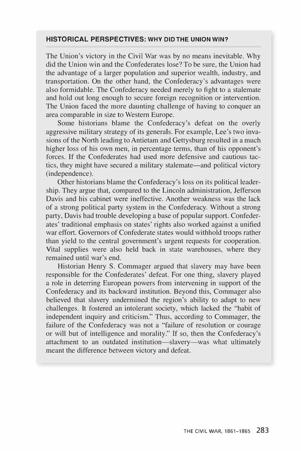#### **HISTORICAL PERSPECTIVES: WHY DID THE UNION WIN?**

The Union's victory in the Civil War was by no means inevitable. Why did the Union win and the Confederates lose? To be sure, the Union had the advantage of a larger population and superior wealth, industry, and transportation. On the other hand, the Confederacy's advantages were also formidable. The Confederacy needed merely to fight to a stalemate and hold out long enough to secure foreign recognition or intervention. The Union faced the more daunting challenge of having to conquer an area comparable in size to Western Europe.

Some historians blame the Confederacy's defeat on the overly aggressive military strategy of its generals. For example, Lee's two invasions of the North leading to Antietam and Gettysburg resulted in a much higher loss of his own men, in percentage terms, than of his opponent's forces. If the Confederates had used more defensive and cautious tactics, they might have secured a military stalemate-and political victory (independence).

Other historians blame the Confederacy's loss on its political leadership. They argue that, compared to the Lincoln administration, Jefferson Davis and his cabinet were ineffective. Another weakness was the lack of a strong political party system in the Confederacy. Without a strong party, Davis had trouble developing a base of popular support. Confederates' traditional emphasis on states' rights also worked against a unified war effort. Governors of Confederate states would withhold troops rather than yield to the central government's urgent requests for cooperation. Vital supplies were also held back in state warehouses, where they remained until war's end.

Historian Henry S. Commager argued that slavery may have been responsible for the Confederates' defeat. For one thing, slavery played a role in deterring European powers from intervening in support of the Confederacy and its backward institution. Beyond this, Commager also believed that slavery undermined the region's ability to adapt to new challenges. It fostered an intolerant society, which lacked the "habit of independent inquiry and criticism." Thus, according to Commager, the failure of the Confederacy was not a "failure of resolution or courage or will but of intelligence and morality." If so, then the Confederacy's attachment to an outdated institution-slavery-was what ultimately meant the difference between victory and defeat.